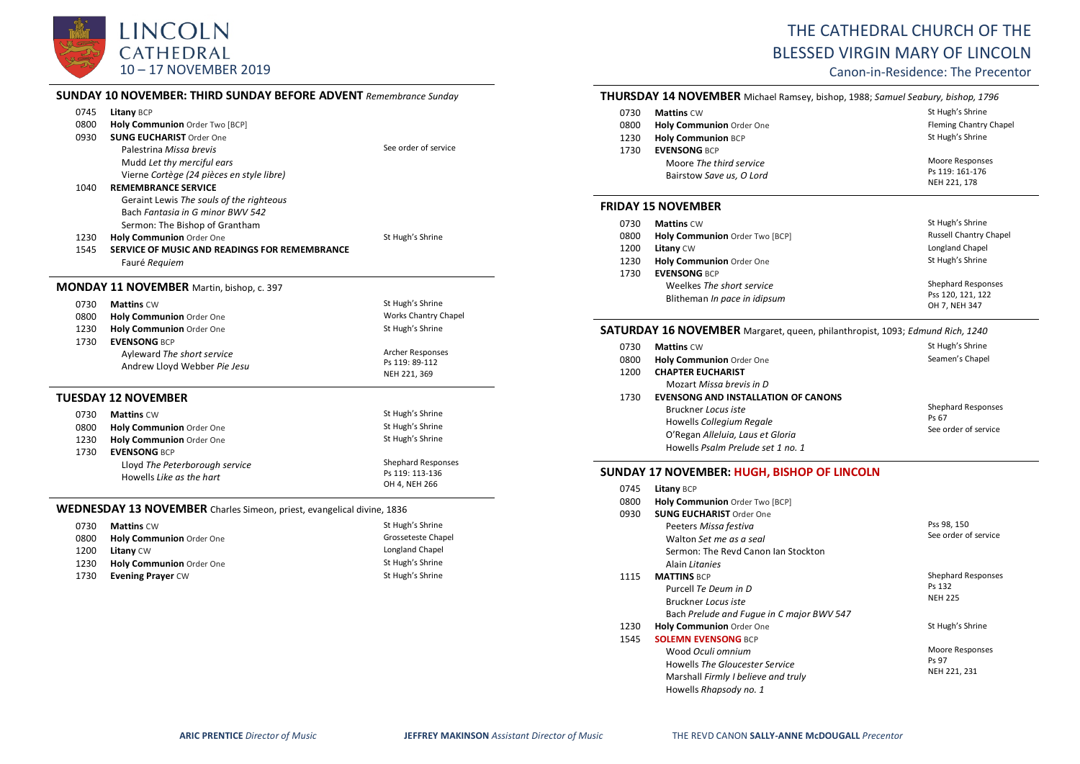

|      | <b>SUNDAY 10 NOVEMBER: THIRD SUNDAY BEFORE ADVENT</b> Remembrance Sunday |                             |
|------|--------------------------------------------------------------------------|-----------------------------|
| 0745 | Litany BCP                                                               |                             |
| 0800 | Holy Communion Order Two [BCP]                                           |                             |
| 0930 | <b>SUNG EUCHARIST Order One</b>                                          |                             |
|      | Palestrina Missa brevis                                                  | See order of service        |
|      | Mudd Let thy merciful ears                                               |                             |
|      | Vierne Cortège (24 pièces en style libre)                                |                             |
| 1040 | <b>REMEMBRANCE SERVICE</b>                                               |                             |
|      | Geraint Lewis The souls of the righteous                                 |                             |
|      | Bach Fantasia in G minor BWV 542                                         |                             |
|      | Sermon: The Bishop of Grantham                                           |                             |
| 1230 | Holy Communion Order One                                                 | St Hugh's Shrine            |
| 1545 | SERVICE OF MUSIC AND READINGS FOR REMEMBRANCE                            |                             |
|      | Fauré Requiem                                                            |                             |
|      | <b>MONDAY 11 NOVEMBER</b> Martin, bishop, c. 397                         |                             |
| 0730 | <b>Mattins CW</b>                                                        | St Hugh's Shrine            |
| 0800 | Holy Communion Order One                                                 | <b>Works Chantry Chapel</b> |
| 1230 | Holy Communion Order One                                                 | St Hugh's Shrine            |
| 1730 | <b>EVENSONG BCP</b>                                                      |                             |
|      | Ayleward The short service                                               | Archer Responses            |
|      | Andrew Lloyd Webber Pie Jesu                                             | Ps 119: 89-112              |
|      |                                                                          | NEH 221, 369                |
|      | <b>TUESDAY 12 NOVEMBER</b>                                               |                             |
| 0730 | <b>Mattins CW</b>                                                        | St Hugh's Shrine            |
| 0800 | Holy Communion Order One                                                 | St Hugh's Shrine            |
| 1230 | Holy Communion Order One                                                 | St Hugh's Shrine            |
| 1730 | <b>EVENSONG BCP</b>                                                      |                             |
|      | Lloyd The Peterborough service                                           | <b>Shephard Responses</b>   |
|      | Howells Like as the hart                                                 | Ps 119: 113-136             |
|      |                                                                          | OH 4, NEH 266               |

| 0730 | <b>Mattins CW</b>               | St Hugh's Shrine   |
|------|---------------------------------|--------------------|
| 0800 | <b>Holy Communion Order One</b> | Grosseteste Chapel |
| 1200 | <b>Litany CW</b>                | Longland Chapel    |
| 1230 | <b>Holy Communion Order One</b> | St Hugh's Shrine   |
| 1730 | <b>Evening Prayer CW</b>        | St Hugh's Shrine   |

# THE CATHEDRAL CHURCH OF THE BLESSED VIRGIN MARY OF LINCOLN

Canon-in-Residence: The Precentor

## **THURSDAY 14 NOVEMBER** Michael Ramsey, bishop, 1988; *Samuel Seabury, bishop, 1796*

| <b>Mattins CW</b>               | St Hugh's Shrine              |
|---------------------------------|-------------------------------|
| <b>Holy Communion Order One</b> | <b>Fleming Chantry Chapel</b> |
| <b>Holy Communion BCP</b>       | St Hugh's Shrine              |
| <b>EVENSONG BCP</b>             |                               |
| Moore The third service         | Moore Responses               |
|                                 | Ps 119: 161-176               |
|                                 | NEH 221, 178                  |
|                                 | Bairstow Save us, O Lord      |

#### **FRIDAY 15 NOVEMBER**

| 0730 | <b>Mattins CW</b>                                                                | St Hugh's Shrine                                                |
|------|----------------------------------------------------------------------------------|-----------------------------------------------------------------|
| 0800 | Holy Communion Order Two [BCP]                                                   | <b>Russell Chantry Chapel</b>                                   |
| 1200 | <b>Litany CW</b>                                                                 | Longland Chapel                                                 |
| 1230 | Holy Communion Order One                                                         | St Hugh's Shrine                                                |
| 1730 | <b>EVENSONG BCP</b><br>Weelkes The short service<br>Blitheman In pace in idipsum | <b>Shephard Responses</b><br>Pss 120, 121, 122<br>OH 7, NEH 347 |

### **SATURDAY 16 NOVEMBER** Margaret, queen, philanthropist, 1093; *Edmund Rich, 1240*

| 0730<br>0800<br>1200 | <b>Mattins CW</b><br><b>Holy Communion Order One</b><br><b>CHAPTER EUCHARIST</b>                                                                                                                   | St Hugh's Shrine<br>Seamen's Chapel                        |
|----------------------|----------------------------------------------------------------------------------------------------------------------------------------------------------------------------------------------------|------------------------------------------------------------|
| 1730                 | Mozart Missa brevis in D<br><b>EVENSONG AND INSTALLATION OF CANONS</b><br>Bruckner Locus iste<br>Howells Collegium Regale<br>O'Regan Alleluia, Laus et Gloria<br>Howells Psalm Prelude set 1 no. 1 | <b>Shephard Responses</b><br>Ps 67<br>See order of service |

### **SUNDAY 17 NOVEMBER: HUGH, BISHOP OF LINCOLN**

| 0745 | <b>Litany BCP</b>                         |                           |
|------|-------------------------------------------|---------------------------|
| 0800 | Holy Communion Order Two [BCP]            |                           |
| 0930 | <b>SUNG EUCHARIST Order One</b>           |                           |
|      | Peeters Missa festiva                     | Pss 98, 150               |
|      | Walton Set me as a seal                   | See order of service      |
|      | Sermon: The Revd Canon Jan Stockton       |                           |
|      | Alain Litanies                            |                           |
| 1115 | <b>MATTINS BCP</b>                        | <b>Shephard Responses</b> |
|      | Purcell Te Deum in D                      | Ps 132                    |
|      | Bruckner Locus iste                       | <b>NEH 225</b>            |
|      | Bach Prelude and Fugue in C major BWV 547 |                           |
| 1230 | <b>Holy Communion Order One</b>           | St Hugh's Shrine          |
| 1545 | <b>SOLEMN EVENSONG BCP</b>                |                           |
|      | Wood Oculi omnium                         | Moore Responses           |
|      | Howells The Gloucester Service            | Ps 97                     |
|      | Marshall Firmly I believe and truly       | NEH 221, 231              |
|      | Howells Rhapsody no. 1                    |                           |